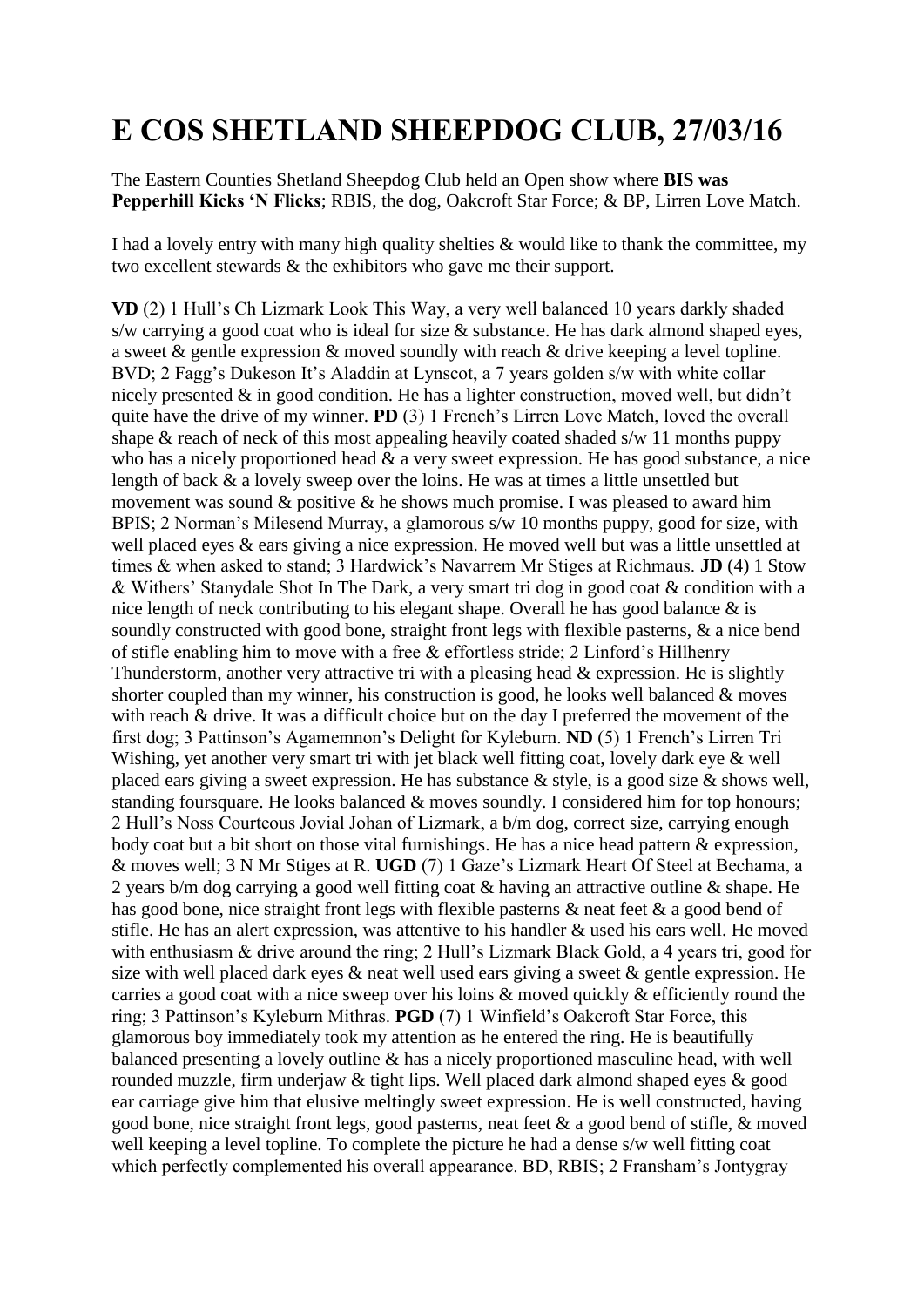## **E COS SHETLAND SHEEPDOG CLUB, 27/03/16**

The Eastern Counties Shetland Sheepdog Club held an Open show where **BIS was Pepperhill Kicks 'N Flicks**; RBIS, the dog, Oakcroft Star Force; & BP, Lirren Love Match.

I had a lovely entry with many high quality shelties & would like to thank the committee, my two excellent stewards & the exhibitors who gave me their support.

**VD** (2) 1 Hull's Ch Lizmark Look This Way, a very well balanced 10 years darkly shaded s/w carrying a good coat who is ideal for size & substance. He has dark almond shaped eyes, a sweet & gentle expression & moved soundly with reach & drive keeping a level topline. BVD; 2 Fagg's Dukeson It's Aladdin at Lynscot, a 7 years golden s/w with white collar nicely presented & in good condition. He has a lighter construction, moved well, but didn't quite have the drive of my winner. **PD** (3) 1 French's Lirren Love Match, loved the overall shape  $\&$  reach of neck of this most appealing heavily coated shaded s/w 11 months puppy who has a nicely proportioned head  $\&$  a very sweet expression. He has good substance, a nice length of back & a lovely sweep over the loins. He was at times a little unsettled but movement was sound  $\&$  positive  $\&$  he shows much promise. I was pleased to award him BPIS; 2 Norman's Milesend Murray, a glamorous s/w 10 months puppy, good for size, with well placed eyes & ears giving a nice expression. He moved well but was a little unsettled at times & when asked to stand; 3 Hardwick's Navarrem Mr Stiges at Richmaus. **JD** (4) 1 Stow & Withers' Stanydale Shot In The Dark, a very smart tri dog in good coat & condition with a nice length of neck contributing to his elegant shape. Overall he has good balance & is soundly constructed with good bone, straight front legs with flexible pasterns, & a nice bend of stifle enabling him to move with a free & effortless stride; 2 Linford's Hillhenry Thunderstorm, another very attractive tri with a pleasing head & expression. He is slightly shorter coupled than my winner, his construction is good, he looks well balanced  $\&$  moves with reach & drive. It was a difficult choice but on the day I preferred the movement of the first dog; 3 Pattinson's Agamemnon's Delight for Kyleburn. **ND** (5) 1 French's Lirren Tri Wishing, yet another very smart tri with jet black well fitting coat, lovely dark eye & well placed ears giving a sweet expression. He has substance & style, is a good size & shows well, standing foursquare. He looks balanced & moves soundly. I considered him for top honours; 2 Hull's Noss Courteous Jovial Johan of Lizmark, a b/m dog, correct size, carrying enough body coat but a bit short on those vital furnishings. He has a nice head pattern & expression, & moves well; 3 N Mr Stiges at R. **UGD** (7) 1 Gaze's Lizmark Heart Of Steel at Bechama, a 2 years b/m dog carrying a good well fitting coat & having an attractive outline & shape. He has good bone, nice straight front legs with flexible pasterns & neat feet & a good bend of stifle. He has an alert expression, was attentive to his handler & used his ears well. He moved with enthusiasm & drive around the ring; 2 Hull's Lizmark Black Gold, a 4 years tri, good for size with well placed dark eyes & neat well used ears giving a sweet & gentle expression. He carries a good coat with a nice sweep over his loins & moved quickly & efficiently round the ring; 3 Pattinson's Kyleburn Mithras. **PGD** (7) 1 Winfield's Oakcroft Star Force, this glamorous boy immediately took my attention as he entered the ring. He is beautifully balanced presenting a lovely outline & has a nicely proportioned masculine head, with well rounded muzzle, firm underjaw & tight lips. Well placed dark almond shaped eyes & good ear carriage give him that elusive meltingly sweet expression. He is well constructed, having good bone, nice straight front legs, good pasterns, neat feet & a good bend of stifle, & moved well keeping a level topline. To complete the picture he had a dense s/w well fitting coat which perfectly complemented his overall appearance. BD, RBIS; 2 Fransham's Jontygray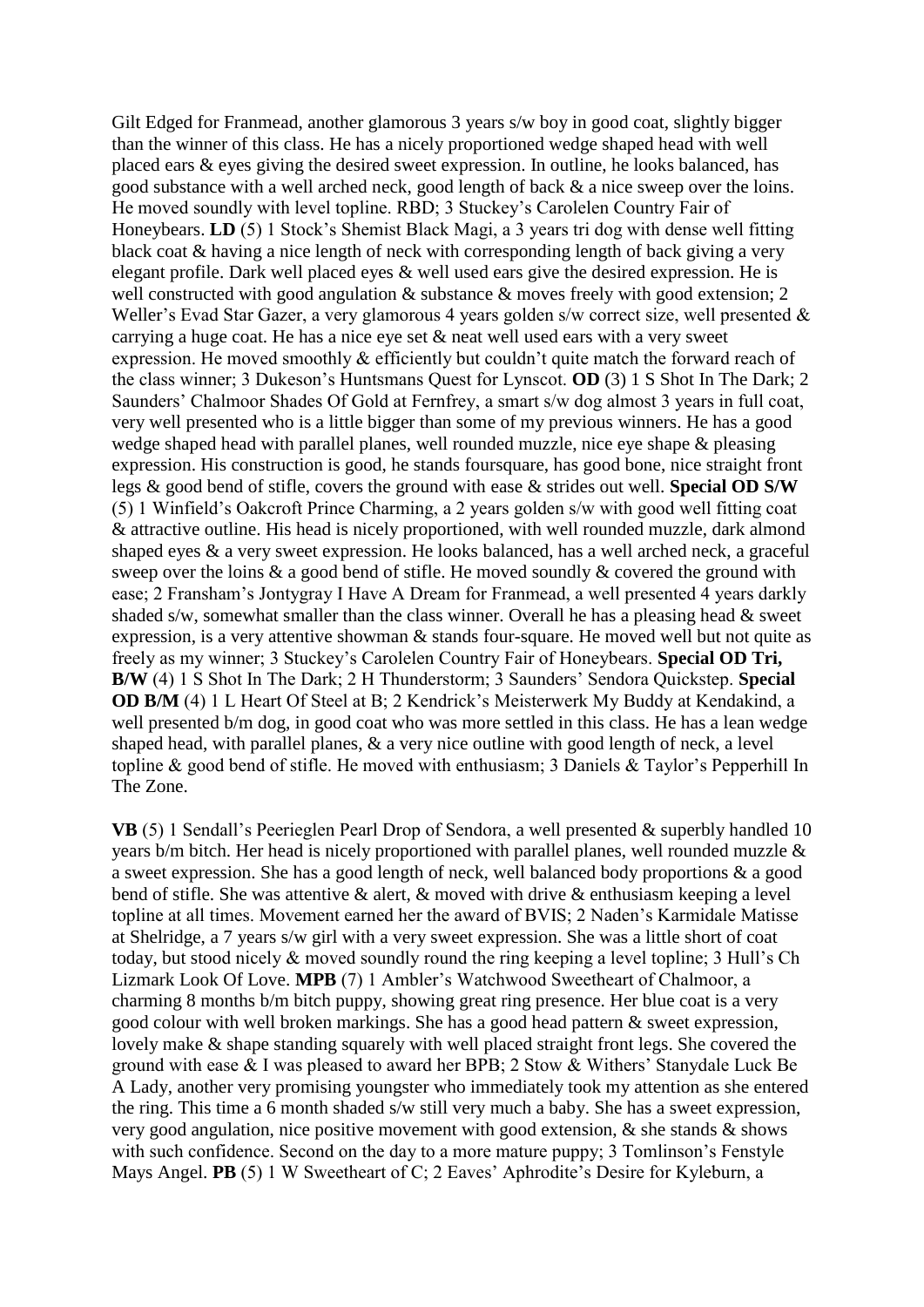Gilt Edged for Franmead, another glamorous 3 years s/w boy in good coat, slightly bigger than the winner of this class. He has a nicely proportioned wedge shaped head with well placed ears & eyes giving the desired sweet expression. In outline, he looks balanced, has good substance with a well arched neck, good length of back & a nice sweep over the loins. He moved soundly with level topline. RBD; 3 Stuckey's Carolelen Country Fair of Honeybears. **LD** (5) 1 Stock's Shemist Black Magi, a 3 years tri dog with dense well fitting black coat & having a nice length of neck with corresponding length of back giving a very elegant profile. Dark well placed eyes & well used ears give the desired expression. He is well constructed with good angulation & substance & moves freely with good extension; 2 Weller's Evad Star Gazer, a very glamorous 4 years golden s/w correct size, well presented & carrying a huge coat. He has a nice eye set & neat well used ears with a very sweet expression. He moved smoothly & efficiently but couldn't quite match the forward reach of the class winner; 3 Dukeson's Huntsmans Quest for Lynscot. **OD** (3) 1 S Shot In The Dark; 2 Saunders' Chalmoor Shades Of Gold at Fernfrey, a smart s/w dog almost 3 years in full coat, very well presented who is a little bigger than some of my previous winners. He has a good wedge shaped head with parallel planes, well rounded muzzle, nice eye shape & pleasing expression. His construction is good, he stands foursquare, has good bone, nice straight front legs & good bend of stifle, covers the ground with ease & strides out well. **Special OD S/W**  (5) 1 Winfield's Oakcroft Prince Charming, a 2 years golden s/w with good well fitting coat & attractive outline. His head is nicely proportioned, with well rounded muzzle, dark almond shaped eyes & a very sweet expression. He looks balanced, has a well arched neck, a graceful sweep over the loins & a good bend of stifle. He moved soundly & covered the ground with ease; 2 Fransham's Jontygray I Have A Dream for Franmead, a well presented 4 years darkly shaded s/w, somewhat smaller than the class winner. Overall he has a pleasing head & sweet expression, is a very attentive showman & stands four-square. He moved well but not quite as freely as my winner; 3 Stuckey's Carolelen Country Fair of Honeybears. **Special OD Tri, B/W** (4) 1 S Shot In The Dark; 2 H Thunderstorm; 3 Saunders' Sendora Quickstep. **Special OD B/M** (4) 1 L Heart Of Steel at B; 2 Kendrick's Meisterwerk My Buddy at Kendakind, a well presented b/m dog, in good coat who was more settled in this class. He has a lean wedge shaped head, with parallel planes, & a very nice outline with good length of neck, a level topline & good bend of stifle. He moved with enthusiasm; 3 Daniels & Taylor's Pepperhill In The Zone.

**VB** (5) 1 Sendall's Peerieglen Pearl Drop of Sendora, a well presented & superbly handled 10 years b/m bitch. Her head is nicely proportioned with parallel planes, well rounded muzzle & a sweet expression. She has a good length of neck, well balanced body proportions & a good bend of stifle. She was attentive & alert, & moved with drive & enthusiasm keeping a level topline at all times. Movement earned her the award of BVIS; 2 Naden's Karmidale Matisse at Shelridge, a 7 years s/w girl with a very sweet expression. She was a little short of coat today, but stood nicely & moved soundly round the ring keeping a level topline; 3 Hull's Ch Lizmark Look Of Love. **MPB** (7) 1 Ambler's Watchwood Sweetheart of Chalmoor, a charming 8 months b/m bitch puppy, showing great ring presence. Her blue coat is a very good colour with well broken markings. She has a good head pattern & sweet expression, lovely make & shape standing squarely with well placed straight front legs. She covered the ground with ease & I was pleased to award her BPB; 2 Stow & Withers' Stanydale Luck Be A Lady, another very promising youngster who immediately took my attention as she entered the ring. This time a 6 month shaded s/w still very much a baby. She has a sweet expression, very good angulation, nice positive movement with good extension, & she stands & shows with such confidence. Second on the day to a more mature puppy; 3 Tomlinson's Fenstyle Mays Angel. **PB** (5) 1 W Sweetheart of C; 2 Eaves' Aphrodite's Desire for Kyleburn, a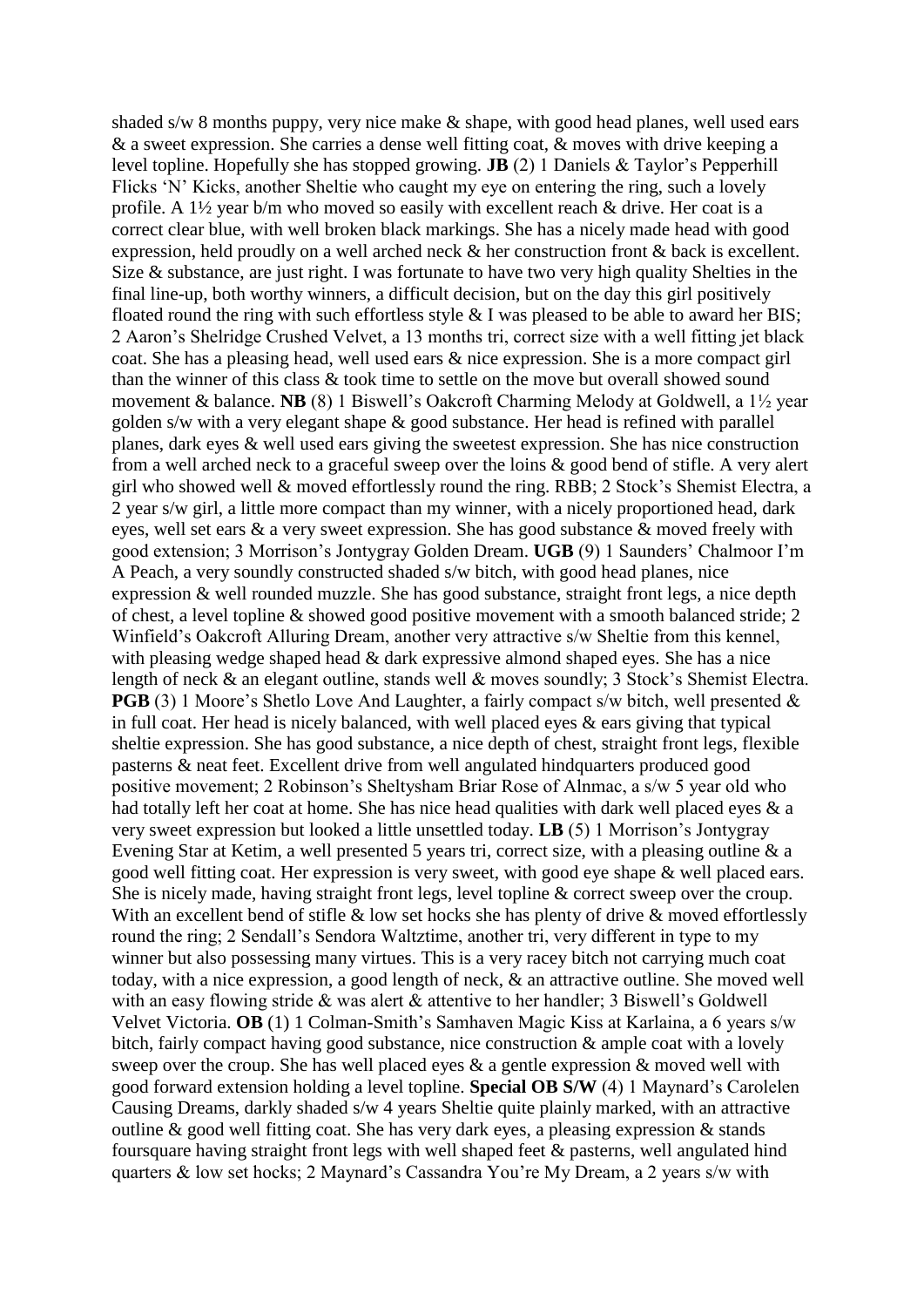shaded s/w 8 months puppy, very nice make & shape, with good head planes, well used ears & a sweet expression. She carries a dense well fitting coat, & moves with drive keeping a level topline. Hopefully she has stopped growing. **JB** (2) 1 Daniels & Taylor's Pepperhill Flicks 'N' Kicks, another Sheltie who caught my eye on entering the ring, such a lovely profile. A 1½ year b/m who moved so easily with excellent reach & drive. Her coat is a correct clear blue, with well broken black markings. She has a nicely made head with good expression, held proudly on a well arched neck & her construction front & back is excellent. Size & substance, are just right. I was fortunate to have two very high quality Shelties in the final line-up, both worthy winners, a difficult decision, but on the day this girl positively floated round the ring with such effortless style & I was pleased to be able to award her BIS; 2 Aaron's Shelridge Crushed Velvet, a 13 months tri, correct size with a well fitting jet black coat. She has a pleasing head, well used ears & nice expression. She is a more compact girl than the winner of this class & took time to settle on the move but overall showed sound movement & balance. **NB** (8) 1 Biswell's Oakcroft Charming Melody at Goldwell, a 1½ year golden s/w with a very elegant shape & good substance. Her head is refined with parallel planes, dark eyes & well used ears giving the sweetest expression. She has nice construction from a well arched neck to a graceful sweep over the loins & good bend of stifle. A very alert girl who showed well & moved effortlessly round the ring. RBB; 2 Stock's Shemist Electra, a 2 year s/w girl, a little more compact than my winner, with a nicely proportioned head, dark eyes, well set ears & a very sweet expression. She has good substance & moved freely with good extension; 3 Morrison's Jontygray Golden Dream. **UGB** (9) 1 Saunders' Chalmoor I'm A Peach, a very soundly constructed shaded s/w bitch, with good head planes, nice expression & well rounded muzzle. She has good substance, straight front legs, a nice depth of chest, a level topline & showed good positive movement with a smooth balanced stride; 2 Winfield's Oakcroft Alluring Dream, another very attractive s/w Sheltie from this kennel, with pleasing wedge shaped head & dark expressive almond shaped eyes. She has a nice length of neck & an elegant outline, stands well & moves soundly; 3 Stock's Shemist Electra. **PGB** (3) 1 Moore's Shetlo Love And Laughter, a fairly compact s/w bitch, well presented & in full coat. Her head is nicely balanced, with well placed eyes & ears giving that typical sheltie expression. She has good substance, a nice depth of chest, straight front legs, flexible pasterns & neat feet. Excellent drive from well angulated hindquarters produced good positive movement; 2 Robinson's Sheltysham Briar Rose of Alnmac, a s/w 5 year old who had totally left her coat at home. She has nice head qualities with dark well placed eyes & a very sweet expression but looked a little unsettled today. **LB** (5) 1 Morrison's Jontygray Evening Star at Ketim, a well presented 5 years tri, correct size, with a pleasing outline & a good well fitting coat. Her expression is very sweet, with good eye shape & well placed ears. She is nicely made, having straight front legs, level topline & correct sweep over the croup. With an excellent bend of stifle & low set hocks she has plenty of drive & moved effortlessly round the ring; 2 Sendall's Sendora Waltztime, another tri, very different in type to my winner but also possessing many virtues. This is a very racey bitch not carrying much coat today, with a nice expression, a good length of neck, & an attractive outline. She moved well with an easy flowing stride & was alert & attentive to her handler; 3 Biswell's Goldwell Velvet Victoria. **OB** (1) 1 Colman-Smith's Samhaven Magic Kiss at Karlaina, a 6 years s/w bitch, fairly compact having good substance, nice construction & ample coat with a lovely sweep over the croup. She has well placed eyes  $\&$  a gentle expression  $\&$  moved well with good forward extension holding a level topline. **Special OB S/W** (4) 1 Maynard's Carolelen Causing Dreams, darkly shaded s/w 4 years Sheltie quite plainly marked, with an attractive outline & good well fitting coat. She has very dark eyes, a pleasing expression & stands foursquare having straight front legs with well shaped feet & pasterns, well angulated hind quarters & low set hocks; 2 Maynard's Cassandra You're My Dream, a 2 years s/w with